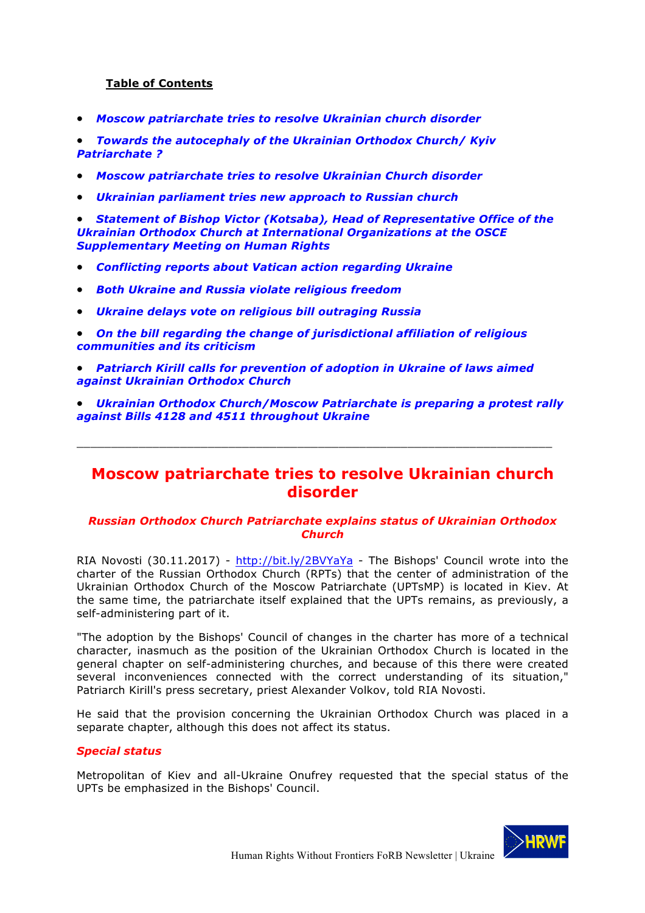## **Table of Contents**

• *Moscow patriarchate tries to resolve Ukrainian church disorder*

• *Towards the autocephaly of the Ukrainian Orthodox Church/ Kyiv Patriarchate ?*

- *Moscow patriarchate tries to resolve Ukrainian Church disorder*
- *Ukrainian parliament tries new approach to Russian church*

• *Statement of Bishop Victor (Kotsaba), Head of Representative Office of the Ukrainian Orthodox Church at International Organizations at the OSCE Supplementary Meeting on Human Rights*

- *Conflicting reports about Vatican action regarding Ukraine*
- *Both Ukraine and Russia violate religious freedom*
- *Ukraine delays vote on religious bill outraging Russia*
- *On the bill regarding the change of jurisdictional affiliation of religious communities and its criticism*
- *Patriarch Kirill calls for prevention of adoption in Ukraine of laws aimed against Ukrainian Orthodox Church*
- *Ukrainian Orthodox Church/Moscow Patriarchate is preparing a protest rally against Bills 4128 and 4511 throughout Ukraine*

\_\_\_\_\_\_\_\_\_\_\_\_\_\_\_\_\_\_\_\_\_\_\_\_\_\_\_\_\_\_\_\_\_\_\_\_\_\_\_\_\_\_\_\_\_\_\_\_\_\_\_\_\_\_\_\_\_\_\_\_\_\_\_\_\_\_\_\_\_

# **Moscow patriarchate tries to resolve Ukrainian church disorder**

### *Russian Orthodox Church Patriarchate explains status of Ukrainian Orthodox Church*

RIA Novosti (30.11.2017) - http://bit.ly/2BVYaYa - The Bishops' Council wrote into the charter of the Russian Orthodox Church (RPTs) that the center of administration of the Ukrainian Orthodox Church of the Moscow Patriarchate (UPTsMP) is located in Kiev. At the same time, the patriarchate itself explained that the UPTs remains, as previously, a self-administering part of it.

"The adoption by the Bishops' Council of changes in the charter has more of a technical character, inasmuch as the position of the Ukrainian Orthodox Church is located in the general chapter on self-administering churches, and because of this there were created several inconveniences connected with the correct understanding of its situation," Patriarch Kirill's press secretary, priest Alexander Volkov, told RIA Novosti.

He said that the provision concerning the Ukrainian Orthodox Church was placed in a separate chapter, although this does not affect its status.

### *Special status*

Metropolitan of Kiev and all-Ukraine Onufrey requested that the special status of the UPTs be emphasized in the Bishops' Council.

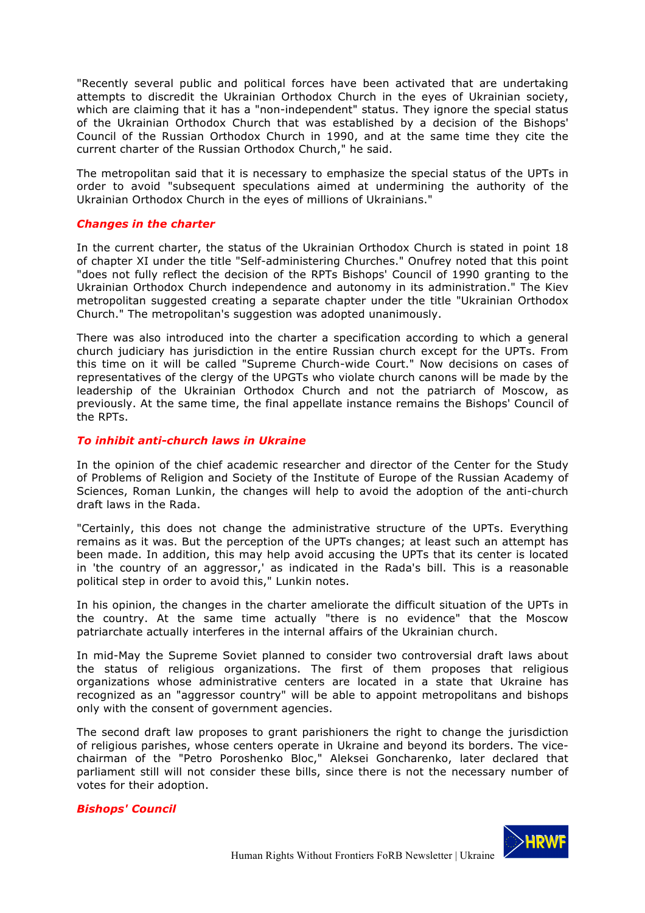"Recently several public and political forces have been activated that are undertaking attempts to discredit the Ukrainian Orthodox Church in the eyes of Ukrainian society, which are claiming that it has a "non-independent" status. They ignore the special status of the Ukrainian Orthodox Church that was established by a decision of the Bishops' Council of the Russian Orthodox Church in 1990, and at the same time they cite the current charter of the Russian Orthodox Church," he said.

The metropolitan said that it is necessary to emphasize the special status of the UPTs in order to avoid "subsequent speculations aimed at undermining the authority of the Ukrainian Orthodox Church in the eyes of millions of Ukrainians."

#### *Changes in the charter*

In the current charter, the status of the Ukrainian Orthodox Church is stated in point 18 of chapter XI under the title "Self-administering Churches." Onufrey noted that this point "does not fully reflect the decision of the RPTs Bishops' Council of 1990 granting to the Ukrainian Orthodox Church independence and autonomy in its administration." The Kiev metropolitan suggested creating a separate chapter under the title "Ukrainian Orthodox Church." The metropolitan's suggestion was adopted unanimously.

There was also introduced into the charter a specification according to which a general church judiciary has jurisdiction in the entire Russian church except for the UPTs. From this time on it will be called "Supreme Church-wide Court." Now decisions on cases of representatives of the clergy of the UPGTs who violate church canons will be made by the leadership of the Ukrainian Orthodox Church and not the patriarch of Moscow, as previously. At the same time, the final appellate instance remains the Bishops' Council of the RPTs.

#### *To inhibit anti-church laws in Ukraine*

In the opinion of the chief academic researcher and director of the Center for the Study of Problems of Religion and Society of the Institute of Europe of the Russian Academy of Sciences, Roman Lunkin, the changes will help to avoid the adoption of the anti-church draft laws in the Rada.

"Certainly, this does not change the administrative structure of the UPTs. Everything remains as it was. But the perception of the UPTs changes; at least such an attempt has been made. In addition, this may help avoid accusing the UPTs that its center is located in 'the country of an aggressor,' as indicated in the Rada's bill. This is a reasonable political step in order to avoid this," Lunkin notes.

In his opinion, the changes in the charter ameliorate the difficult situation of the UPTs in the country. At the same time actually "there is no evidence" that the Moscow patriarchate actually interferes in the internal affairs of the Ukrainian church.

In mid-May the Supreme Soviet planned to consider two controversial draft laws about the status of religious organizations. The first of them proposes that religious organizations whose administrative centers are located in a state that Ukraine has recognized as an "aggressor country" will be able to appoint metropolitans and bishops only with the consent of government agencies.

The second draft law proposes to grant parishioners the right to change the jurisdiction of religious parishes, whose centers operate in Ukraine and beyond its borders. The vicechairman of the "Petro Poroshenko Bloc," Aleksei Goncharenko, later declared that parliament still will not consider these bills, since there is not the necessary number of votes for their adoption.

### *Bishops' Council*

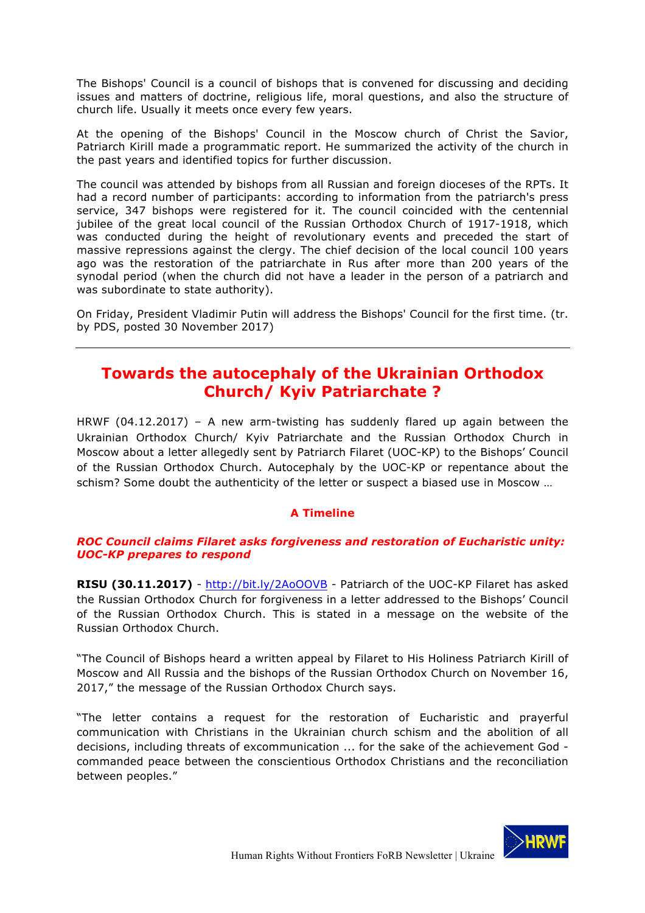The Bishops' Council is a council of bishops that is convened for discussing and deciding issues and matters of doctrine, religious life, moral questions, and also the structure of church life. Usually it meets once every few years.

At the opening of the Bishops' Council in the Moscow church of Christ the Savior, Patriarch Kirill made a programmatic report. He summarized the activity of the church in the past years and identified topics for further discussion.

The council was attended by bishops from all Russian and foreign dioceses of the RPTs. It had a record number of participants: according to information from the patriarch's press service, 347 bishops were registered for it. The council coincided with the centennial jubilee of the great local council of the Russian Orthodox Church of 1917-1918, which was conducted during the height of revolutionary events and preceded the start of massive repressions against the clergy. The chief decision of the local council 100 years ago was the restoration of the patriarchate in Rus after more than 200 years of the synodal period (when the church did not have a leader in the person of a patriarch and was subordinate to state authority).

On Friday, President Vladimir Putin will address the Bishops' Council for the first time. (tr. by PDS, posted 30 November 2017)

# **Towards the autocephaly of the Ukrainian Orthodox Church/ Kyiv Patriarchate ?**

HRWF (04.12.2017) – A new arm-twisting has suddenly flared up again between the Ukrainian Orthodox Church/ Kyiv Patriarchate and the Russian Orthodox Church in Moscow about a letter allegedly sent by Patriarch Filaret (UOC-KP) to the Bishops' Council of the Russian Orthodox Church. Autocephaly by the UOC-KP or repentance about the schism? Some doubt the authenticity of the letter or suspect a biased use in Moscow …

## **A Timeline**

## *ROC Council claims Filaret asks forgiveness and restoration of Eucharistic unity: UOC-KP prepares to respond*

**RISU (30.11.2017)** - http://bit.ly/2AoOOVB - Patriarch of the UOC-KP Filaret has asked the Russian Orthodox Church for forgiveness in a letter addressed to the Bishops' Council of the Russian Orthodox Church. This is stated in a message on the website of the Russian Orthodox Church.

"The Council of Bishops heard a written appeal by Filaret to His Holiness Patriarch Kirill of Moscow and All Russia and the bishops of the Russian Orthodox Church on November 16, 2017," the message of the Russian Orthodox Church says.

"The letter contains a request for the restoration of Eucharistic and prayerful communication with Christians in the Ukrainian church schism and the abolition of all decisions, including threats of excommunication ... for the sake of the achievement God commanded peace between the conscientious Orthodox Christians and the reconciliation between peoples."

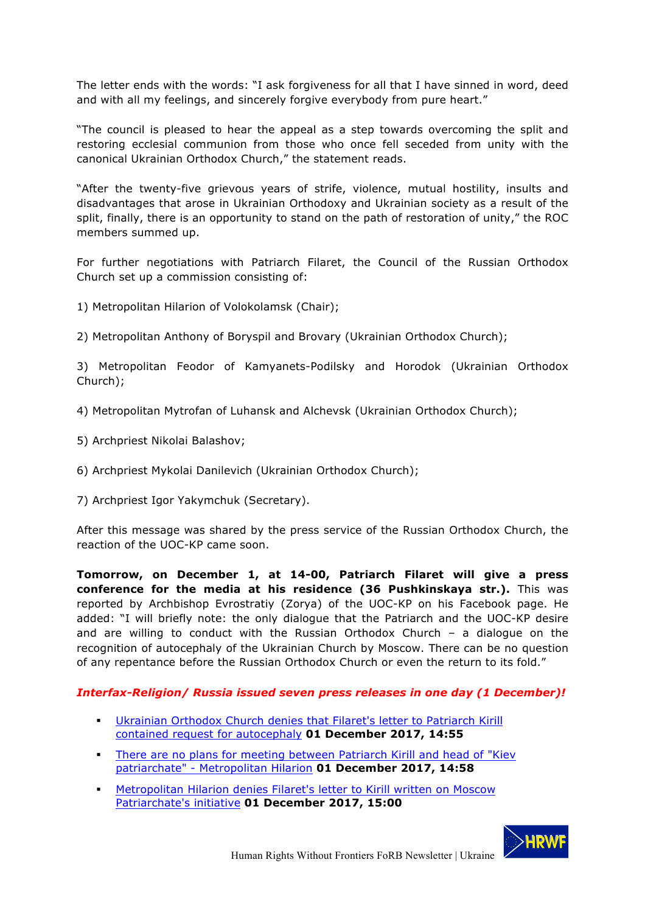The letter ends with the words: "I ask forgiveness for all that I have sinned in word, deed and with all my feelings, and sincerely forgive everybody from pure heart."

"The council is pleased to hear the appeal as a step towards overcoming the split and restoring ecclesial communion from those who once fell seceded from unity with the canonical Ukrainian Orthodox Church," the statement reads.

"After the twenty-five grievous years of strife, violence, mutual hostility, insults and disadvantages that arose in Ukrainian Orthodoxy and Ukrainian society as a result of the split, finally, there is an opportunity to stand on the path of restoration of unity," the ROC members summed up.

For further negotiations with Patriarch Filaret, the Council of the Russian Orthodox Church set up a commission consisting of:

- 1) Metropolitan Hilarion of Volokolamsk (Chair);
- 2) Metropolitan Anthony of Boryspil and Brovary (Ukrainian Orthodox Church);

3) Metropolitan Feodor of Kamyanets-Podilsky and Horodok (Ukrainian Orthodox Church);

- 4) Metropolitan Mytrofan of Luhansk and Alchevsk (Ukrainian Orthodox Church);
- 5) Archpriest Nikolai Balashov;
- 6) Archpriest Mykolai Danilevich (Ukrainian Orthodox Church);
- 7) Archpriest Igor Yakymchuk (Secretary).

After this message was shared by the press service of the Russian Orthodox Church, the reaction of the UOC-KP came soon.

**Tomorrow, on December 1, at 14-00, Patriarch Filaret will give a press conference for the media at his residence (36 Pushkinskaya str.).** This was reported by Archbishop Evrostratiy (Zorya) of the UOC-KP on his Facebook page. He added: "I will briefly note: the only dialogue that the Patriarch and the UOC-KP desire and are willing to conduct with the Russian Orthodox Church – a dialogue on the recognition of autocephaly of the Ukrainian Church by Moscow. There can be no question of any repentance before the Russian Orthodox Church or even the return to its fold."

## *Interfax-Religion/ Russia issued seven press releases in one day (1 December)!*

- § Ukrainian Orthodox Church denies that Filaret's letter to Patriarch Kirill contained request for autocephaly **01 December 2017, 14:55**
- § There are no plans for meeting between Patriarch Kirill and head of "Kiev patriarchate" - Metropolitan Hilarion **01 December 2017, 14:58**
- **Metropolitan Hilarion denies Filaret's letter to Kirill written on Moscow** Patriarchate's initiative **01 December 2017, 15:00**

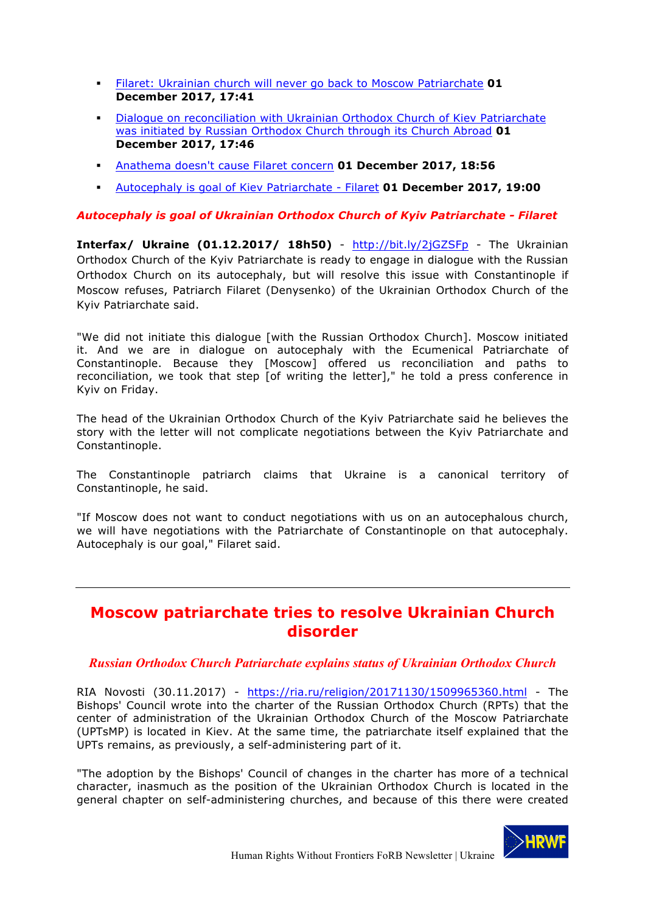- § Filaret: Ukrainian church will never go back to Moscow Patriarchate **01 December 2017, 17:41**
- Dialogue on reconciliation with Ukrainian Orthodox Church of Kiev Patriarchate was initiated by Russian Orthodox Church through its Church Abroad **01 December 2017, 17:46**
- § Anathema doesn't cause Filaret concern **01 December 2017, 18:56**
- § Autocephaly is goal of Kiev Patriarchate Filaret **01 December 2017, 19:00**

## *Autocephaly is goal of Ukrainian Orthodox Church of Kyiv Patriarchate - Filaret*

**Interfax/ Ukraine (01.12.2017/ 18h50)** - http://bit.ly/2jGZSFp - The Ukrainian Orthodox Church of the Kyiv Patriarchate is ready to engage in dialogue with the Russian Orthodox Church on its autocephaly, but will resolve this issue with Constantinople if Moscow refuses, Patriarch Filaret (Denysenko) of the Ukrainian Orthodox Church of the Kyiv Patriarchate said.

"We did not initiate this dialogue [with the Russian Orthodox Church]. Moscow initiated it. And we are in dialogue on autocephaly with the Ecumenical Patriarchate of Constantinople. Because they [Moscow] offered us reconciliation and paths to reconciliation, we took that step [of writing the letter]," he told a press conference in Kyiv on Friday.

The head of the Ukrainian Orthodox Church of the Kyiv Patriarchate said he believes the story with the letter will not complicate negotiations between the Kyiv Patriarchate and Constantinople.

The Constantinople patriarch claims that Ukraine is a canonical territory of Constantinople, he said.

"If Moscow does not want to conduct negotiations with us on an autocephalous church, we will have negotiations with the Patriarchate of Constantinople on that autocephaly. Autocephaly is our goal," Filaret said.

# **Moscow patriarchate tries to resolve Ukrainian Church disorder**

## *Russian Orthodox Church Patriarchate explains status of Ukrainian Orthodox Church*

RIA Novosti (30.11.2017) - https://ria.ru/religion/20171130/1509965360.html - The Bishops' Council wrote into the charter of the Russian Orthodox Church (RPTs) that the center of administration of the Ukrainian Orthodox Church of the Moscow Patriarchate (UPTsMP) is located in Kiev. At the same time, the patriarchate itself explained that the UPTs remains, as previously, a self-administering part of it.

"The adoption by the Bishops' Council of changes in the charter has more of a technical character, inasmuch as the position of the Ukrainian Orthodox Church is located in the general chapter on self-administering churches, and because of this there were created

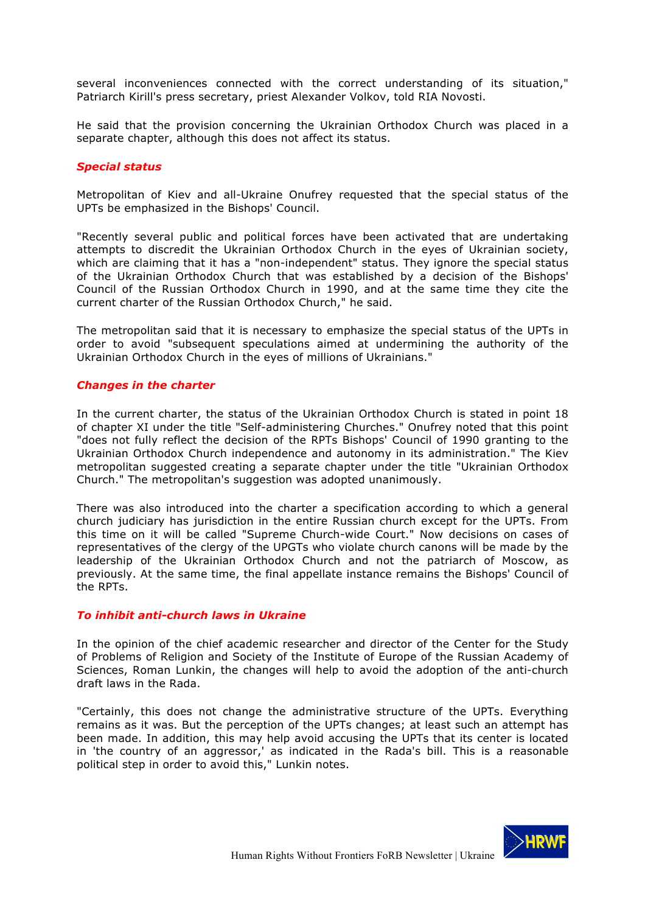several inconveniences connected with the correct understanding of its situation," Patriarch Kirill's press secretary, priest Alexander Volkov, told RIA Novosti.

He said that the provision concerning the Ukrainian Orthodox Church was placed in a separate chapter, although this does not affect its status.

#### *Special status*

Metropolitan of Kiev and all-Ukraine Onufrey requested that the special status of the UPTs be emphasized in the Bishops' Council.

"Recently several public and political forces have been activated that are undertaking attempts to discredit the Ukrainian Orthodox Church in the eyes of Ukrainian society, which are claiming that it has a "non-independent" status. They ignore the special status of the Ukrainian Orthodox Church that was established by a decision of the Bishops' Council of the Russian Orthodox Church in 1990, and at the same time they cite the current charter of the Russian Orthodox Church," he said.

The metropolitan said that it is necessary to emphasize the special status of the UPTs in order to avoid "subsequent speculations aimed at undermining the authority of the Ukrainian Orthodox Church in the eyes of millions of Ukrainians."

#### *Changes in the charter*

In the current charter, the status of the Ukrainian Orthodox Church is stated in point 18 of chapter XI under the title "Self-administering Churches." Onufrey noted that this point "does not fully reflect the decision of the RPTs Bishops' Council of 1990 granting to the Ukrainian Orthodox Church independence and autonomy in its administration." The Kiev metropolitan suggested creating a separate chapter under the title "Ukrainian Orthodox Church." The metropolitan's suggestion was adopted unanimously.

There was also introduced into the charter a specification according to which a general church judiciary has jurisdiction in the entire Russian church except for the UPTs. From this time on it will be called "Supreme Church-wide Court." Now decisions on cases of representatives of the clergy of the UPGTs who violate church canons will be made by the leadership of the Ukrainian Orthodox Church and not the patriarch of Moscow, as previously. At the same time, the final appellate instance remains the Bishops' Council of the RPTs.

### *To inhibit anti-church laws in Ukraine*

In the opinion of the chief academic researcher and director of the Center for the Study of Problems of Religion and Society of the Institute of Europe of the Russian Academy of Sciences, Roman Lunkin, the changes will help to avoid the adoption of the anti-church draft laws in the Rada.

"Certainly, this does not change the administrative structure of the UPTs. Everything remains as it was. But the perception of the UPTs changes; at least such an attempt has been made. In addition, this may help avoid accusing the UPTs that its center is located in 'the country of an aggressor,' as indicated in the Rada's bill. This is a reasonable political step in order to avoid this," Lunkin notes.

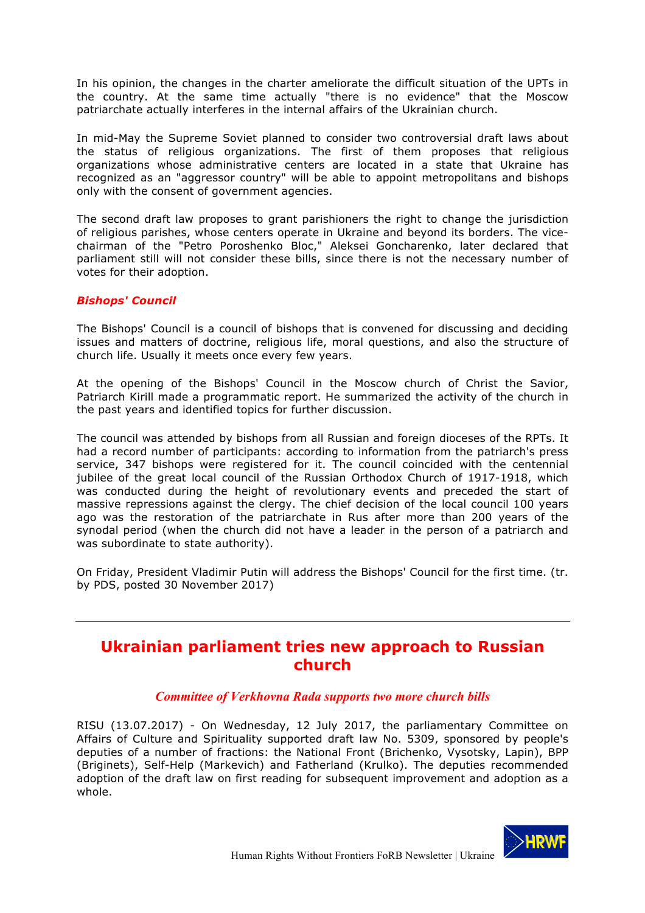In his opinion, the changes in the charter ameliorate the difficult situation of the UPTs in the country. At the same time actually "there is no evidence" that the Moscow patriarchate actually interferes in the internal affairs of the Ukrainian church.

In mid-May the Supreme Soviet planned to consider two controversial draft laws about the status of religious organizations. The first of them proposes that religious organizations whose administrative centers are located in a state that Ukraine has recognized as an "aggressor country" will be able to appoint metropolitans and bishops only with the consent of government agencies.

The second draft law proposes to grant parishioners the right to change the jurisdiction of religious parishes, whose centers operate in Ukraine and beyond its borders. The vicechairman of the "Petro Poroshenko Bloc," Aleksei Goncharenko, later declared that parliament still will not consider these bills, since there is not the necessary number of votes for their adoption.

## *Bishops' Council*

The Bishops' Council is a council of bishops that is convened for discussing and deciding issues and matters of doctrine, religious life, moral questions, and also the structure of church life. Usually it meets once every few years.

At the opening of the Bishops' Council in the Moscow church of Christ the Savior, Patriarch Kirill made a programmatic report. He summarized the activity of the church in the past years and identified topics for further discussion.

The council was attended by bishops from all Russian and foreign dioceses of the RPTs. It had a record number of participants: according to information from the patriarch's press service, 347 bishops were registered for it. The council coincided with the centennial jubilee of the great local council of the Russian Orthodox Church of 1917-1918, which was conducted during the height of revolutionary events and preceded the start of massive repressions against the clergy. The chief decision of the local council 100 years ago was the restoration of the patriarchate in Rus after more than 200 years of the synodal period (when the church did not have a leader in the person of a patriarch and was subordinate to state authority).

On Friday, President Vladimir Putin will address the Bishops' Council for the first time. (tr. by PDS, posted 30 November 2017)

# **Ukrainian parliament tries new approach to Russian church**

## *Committee of Verkhovna Rada supports two more church bills*

RISU (13.07.2017) - On Wednesday, 12 July 2017, the parliamentary Committee on Affairs of Culture and Spirituality supported draft law No. 5309, sponsored by people's deputies of a number of fractions: the National Front (Brichenko, Vysotsky, Lapin), BPP (Briginets), Self-Help (Markevich) and Fatherland (Krulko). The deputies recommended adoption of the draft law on first reading for subsequent improvement and adoption as a whole.

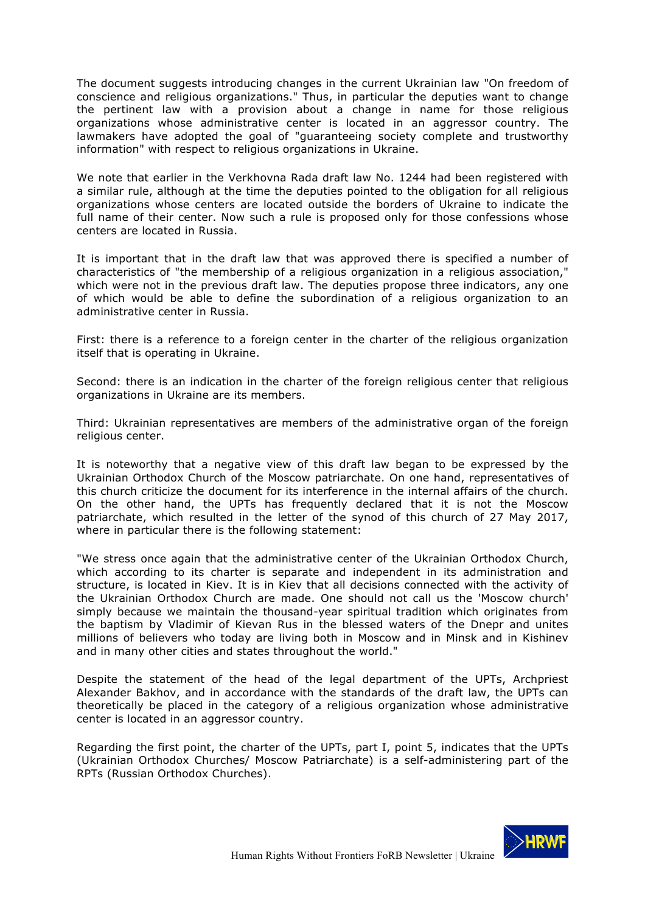The document suggests introducing changes in the current Ukrainian law "On freedom of conscience and religious organizations." Thus, in particular the deputies want to change the pertinent law with a provision about a change in name for those religious organizations whose administrative center is located in an aggressor country. The lawmakers have adopted the goal of "guaranteeing society complete and trustworthy information" with respect to religious organizations in Ukraine.

We note that earlier in the Verkhovna Rada draft law No. 1244 had been registered with a similar rule, although at the time the deputies pointed to the obligation for all religious organizations whose centers are located outside the borders of Ukraine to indicate the full name of their center. Now such a rule is proposed only for those confessions whose centers are located in Russia.

It is important that in the draft law that was approved there is specified a number of characteristics of "the membership of a religious organization in a religious association," which were not in the previous draft law. The deputies propose three indicators, any one of which would be able to define the subordination of a religious organization to an administrative center in Russia.

First: there is a reference to a foreign center in the charter of the religious organization itself that is operating in Ukraine.

Second: there is an indication in the charter of the foreign religious center that religious organizations in Ukraine are its members.

Third: Ukrainian representatives are members of the administrative organ of the foreign religious center.

It is noteworthy that a negative view of this draft law began to be expressed by the Ukrainian Orthodox Church of the Moscow patriarchate. On one hand, representatives of this church criticize the document for its interference in the internal affairs of the church. On the other hand, the UPTs has frequently declared that it is not the Moscow patriarchate, which resulted in the letter of the synod of this church of 27 May 2017, where in particular there is the following statement:

"We stress once again that the administrative center of the Ukrainian Orthodox Church, which according to its charter is separate and independent in its administration and structure, is located in Kiev. It is in Kiev that all decisions connected with the activity of the Ukrainian Orthodox Church are made. One should not call us the 'Moscow church' simply because we maintain the thousand-year spiritual tradition which originates from the baptism by Vladimir of Kievan Rus in the blessed waters of the Dnepr and unites millions of believers who today are living both in Moscow and in Minsk and in Kishinev and in many other cities and states throughout the world."

Despite the statement of the head of the legal department of the UPTs, Archpriest Alexander Bakhov, and in accordance with the standards of the draft law, the UPTs can theoretically be placed in the category of a religious organization whose administrative center is located in an aggressor country.

Regarding the first point, the charter of the UPTs, part I, point 5, indicates that the UPTs (Ukrainian Orthodox Churches/ Moscow Patriarchate) is a self-administering part of the RPTs (Russian Orthodox Churches).

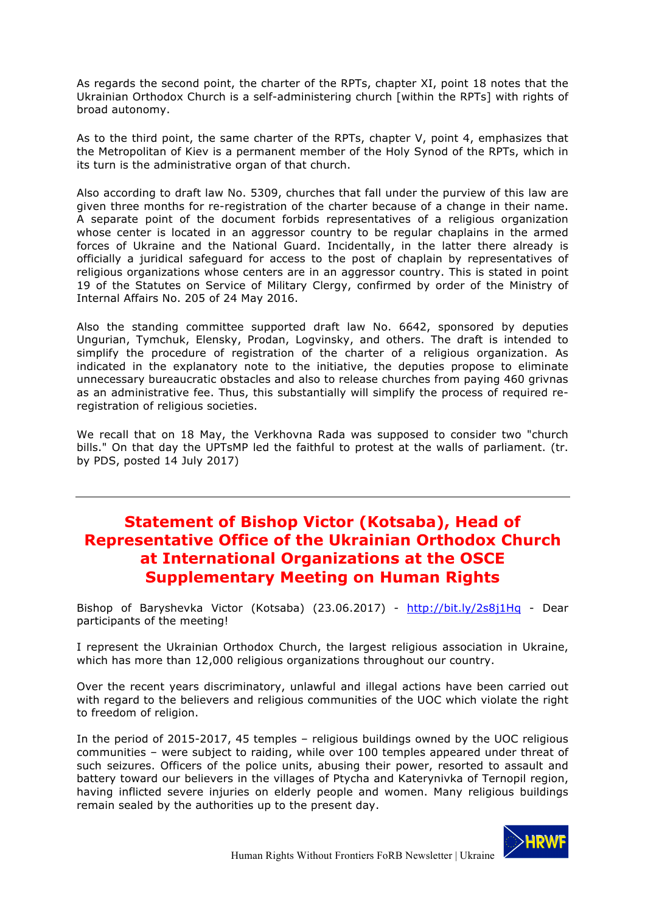As regards the second point, the charter of the RPTs, chapter XI, point 18 notes that the Ukrainian Orthodox Church is a self-administering church [within the RPTs] with rights of broad autonomy.

As to the third point, the same charter of the RPTs, chapter V, point 4, emphasizes that the Metropolitan of Kiev is a permanent member of the Holy Synod of the RPTs, which in its turn is the administrative organ of that church.

Also according to draft law No. 5309, churches that fall under the purview of this law are given three months for re-registration of the charter because of a change in their name. A separate point of the document forbids representatives of a religious organization whose center is located in an aggressor country to be regular chaplains in the armed forces of Ukraine and the National Guard. Incidentally, in the latter there already is officially a juridical safeguard for access to the post of chaplain by representatives of religious organizations whose centers are in an aggressor country. This is stated in point 19 of the Statutes on Service of Military Clergy, confirmed by order of the Ministry of Internal Affairs No. 205 of 24 May 2016.

Also the standing committee supported draft law No. 6642, sponsored by deputies Ungurian, Tymchuk, Elensky, Prodan, Logvinsky, and others. The draft is intended to simplify the procedure of registration of the charter of a religious organization. As indicated in the explanatory note to the initiative, the deputies propose to eliminate unnecessary bureaucratic obstacles and also to release churches from paying 460 grivnas as an administrative fee. Thus, this substantially will simplify the process of required reregistration of religious societies.

We recall that on 18 May, the Verkhovna Rada was supposed to consider two "church bills." On that day the UPTsMP led the faithful to protest at the walls of parliament. (tr. by PDS, posted 14 July 2017)

# **Statement of Bishop Victor (Kotsaba), Head of Representative Office of the Ukrainian Orthodox Church at International Organizations at the OSCE Supplementary Meeting on Human Rights**

Bishop of Baryshevka Victor (Kotsaba) (23.06.2017) - http://bit.ly/2s8j1Hq - Dear participants of the meeting!

I represent the Ukrainian Orthodox Church, the largest religious association in Ukraine, which has more than 12,000 religious organizations throughout our country.

Over the recent years discriminatory, unlawful and illegal actions have been carried out with regard to the believers and religious communities of the UOC which violate the right to freedom of religion.

In the period of 2015-2017, 45 temples – religious buildings owned by the UOC religious communities – were subject to raiding, while over 100 temples appeared under threat of such seizures. Officers of the police units, abusing their power, resorted to assault and battery toward our believers in the villages of Ptycha and Katerynivka of Ternopil region, having inflicted severe injuries on elderly people and women. Many religious buildings remain sealed by the authorities up to the present day.

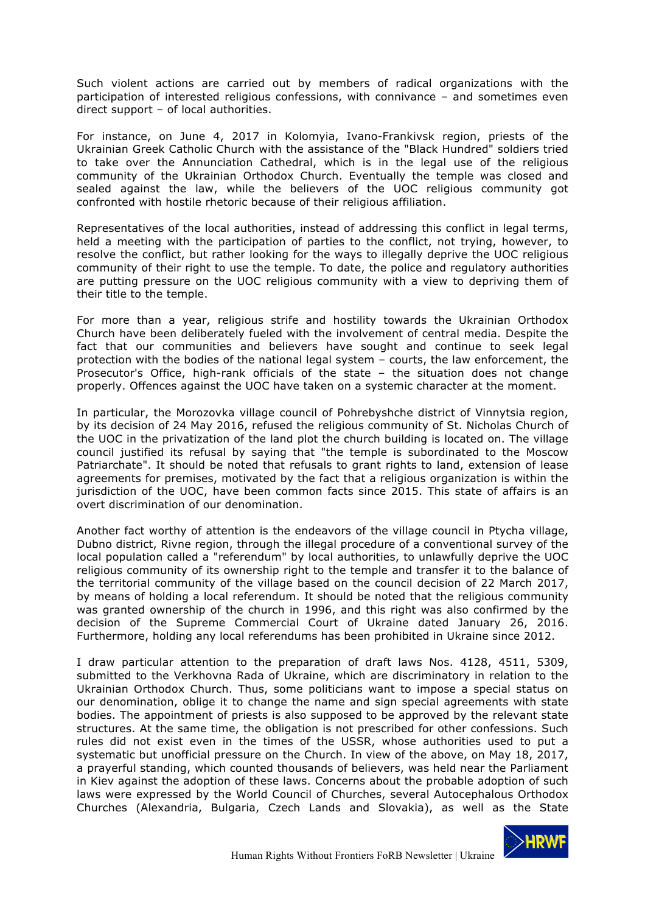Such violent actions are carried out by members of radical organizations with the participation of interested religious confessions, with connivance – and sometimes even direct support – of local authorities.

For instance, on June 4, 2017 in Kolomyia, Ivano-Frankivsk region, priests of the Ukrainian Greek Catholic Church with the assistance of the "Black Hundred" soldiers tried to take over the Annunciation Cathedral, which is in the legal use of the religious community of the Ukrainian Orthodox Church. Eventually the temple was closed and sealed against the law, while the believers of the UOC religious community got confronted with hostile rhetoric because of their religious affiliation.

Representatives of the local authorities, instead of addressing this conflict in legal terms, held a meeting with the participation of parties to the conflict, not trying, however, to resolve the conflict, but rather looking for the ways to illegally deprive the UOC religious community of their right to use the temple. To date, the police and regulatory authorities are putting pressure on the UOC religious community with a view to depriving them of their title to the temple.

For more than a year, religious strife and hostility towards the Ukrainian Orthodox Church have been deliberately fueled with the involvement of central media. Despite the fact that our communities and believers have sought and continue to seek legal protection with the bodies of the national legal system – courts, the law enforcement, the Prosecutor's Office, high-rank officials of the state – the situation does not change properly. Offences against the UOC have taken on a systemic character at the moment.

In particular, the Morozovka village council of Pohrebyshche district of Vinnytsia region, by its decision of 24 May 2016, refused the religious community of St. Nicholas Church of the UOC in the privatization of the land plot the church building is located on. The village council justified its refusal by saying that "the temple is subordinated to the Moscow Patriarchate". It should be noted that refusals to grant rights to land, extension of lease agreements for premises, motivated by the fact that a religious organization is within the jurisdiction of the UOC, have been common facts since 2015. This state of affairs is an overt discrimination of our denomination.

Another fact worthy of attention is the endeavors of the village council in Ptycha village, Dubno district, Rivne region, through the illegal procedure of a conventional survey of the local population called a "referendum" by local authorities, to unlawfully deprive the UOC religious community of its ownership right to the temple and transfer it to the balance of the territorial community of the village based on the council decision of 22 March 2017, by means of holding a local referendum. It should be noted that the religious community was granted ownership of the church in 1996, and this right was also confirmed by the decision of the Supreme Commercial Court of Ukraine dated January 26, 2016. Furthermore, holding any local referendums has been prohibited in Ukraine since 2012.

I draw particular attention to the preparation of draft laws Nos. 4128, 4511, 5309, submitted to the Verkhovna Rada of Ukraine, which are discriminatory in relation to the Ukrainian Orthodox Church. Thus, some politicians want to impose a special status on our denomination, oblige it to change the name and sign special agreements with state bodies. The appointment of priests is also supposed to be approved by the relevant state structures. At the same time, the obligation is not prescribed for other confessions. Such rules did not exist even in the times of the USSR, whose authorities used to put a systematic but unofficial pressure on the Church. In view of the above, on May 18, 2017, a prayerful standing, which counted thousands of believers, was held near the Parliament in Kiev against the adoption of these laws. Concerns about the probable adoption of such laws were expressed by the World Council of Churches, several Autocephalous Orthodox Churches (Alexandria, Bulgaria, Czech Lands and Slovakia), as well as the State

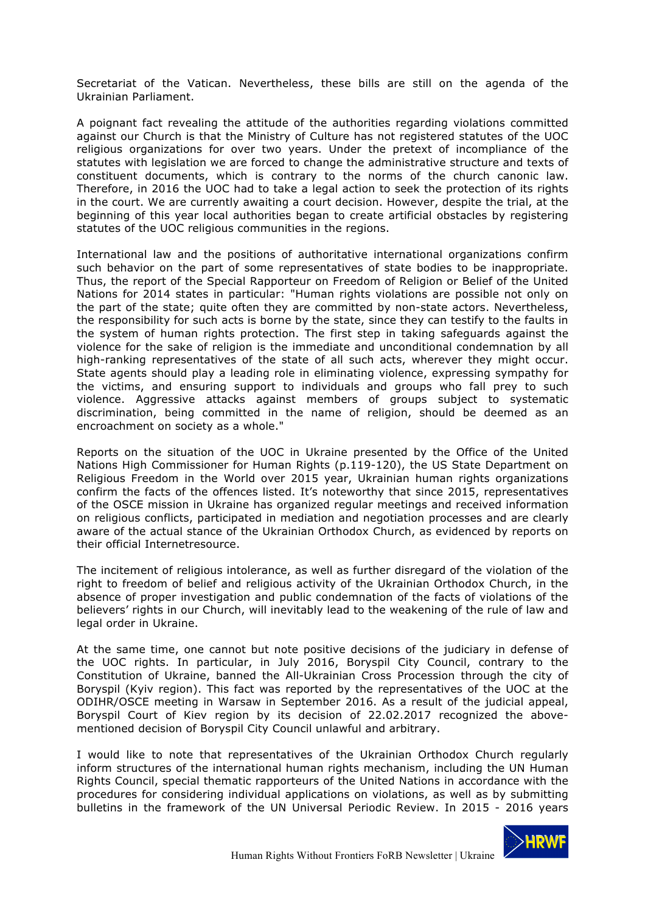Secretariat of the Vatican. Nevertheless, these bills are still on the agenda of the Ukrainian Parliament.

A poignant fact revealing the attitude of the authorities regarding violations committed against our Church is that the Ministry of Culture has not registered statutes of the UOC religious organizations for over two years. Under the pretext of incompliance of the statutes with legislation we are forced to change the administrative structure and texts of constituent documents, which is contrary to the norms of the church canonic law. Therefore, in 2016 the UOC had to take a legal action to seek the protection of its rights in the court. We are currently awaiting a court decision. However, despite the trial, at the beginning of this year local authorities began to create artificial obstacles by registering statutes of the UOC religious communities in the regions.

International law and the positions of authoritative international organizations confirm such behavior on the part of some representatives of state bodies to be inappropriate. Thus, the report of the Special Rapporteur on Freedom of Religion or Belief of the United Nations for 2014 states in particular: "Human rights violations are possible not only on the part of the state; quite often they are committed by non-state actors. Nevertheless, the responsibility for such acts is borne by the state, since they can testify to the faults in the system of human rights protection. The first step in taking safeguards against the violence for the sake of religion is the immediate and unconditional condemnation by all high-ranking representatives of the state of all such acts, wherever they might occur. State agents should play a leading role in eliminating violence, expressing sympathy for the victims, and ensuring support to individuals and groups who fall prey to such violence. Aggressive attacks against members of groups subject to systematic discrimination, being committed in the name of religion, should be deemed as an encroachment on society as a whole."

Reports on the situation of the UOC in Ukraine presented by the Office of the United Nations High Commissioner for Human Rights (p.119-120), the US State Department on Religious Freedom in the World over 2015 year, Ukrainian human rights organizations confirm the facts of the offences listed. It's noteworthy that since 2015, representatives of the OSCE mission in Ukraine has organized regular meetings and received information on religious conflicts, participated in mediation and negotiation processes and are clearly aware of the actual stance of the Ukrainian Orthodox Church, as evidenced by reports on their official Internetresource.

The incitement of religious intolerance, as well as further disregard of the violation of the right to freedom of belief and religious activity of the Ukrainian Orthodox Church, in the absence of proper investigation and public condemnation of the facts of violations of the believers' rights in our Church, will inevitably lead to the weakening of the rule of law and legal order in Ukraine.

At the same time, one cannot but note positive decisions of the judiciary in defense of the UOC rights. In particular, in July 2016, Boryspil City Council, contrary to the Constitution of Ukraine, banned the All-Ukrainian Cross Procession through the city of Boryspil (Kyiv region). This fact was reported by the representatives of the UOC at the ODIHR/OSCE meeting in Warsaw in September 2016. As a result of the judicial appeal, Boryspil Court of Kiev region by its decision of 22.02.2017 recognized the abovementioned decision of Boryspil City Council unlawful and arbitrary.

I would like to note that representatives of the Ukrainian Orthodox Church regularly inform structures of the international human rights mechanism, including the UN Human Rights Council, special thematic rapporteurs of the United Nations in accordance with the procedures for considering individual applications on violations, as well as by submitting bulletins in the framework of the UN Universal Periodic Review. In 2015 - 2016 years

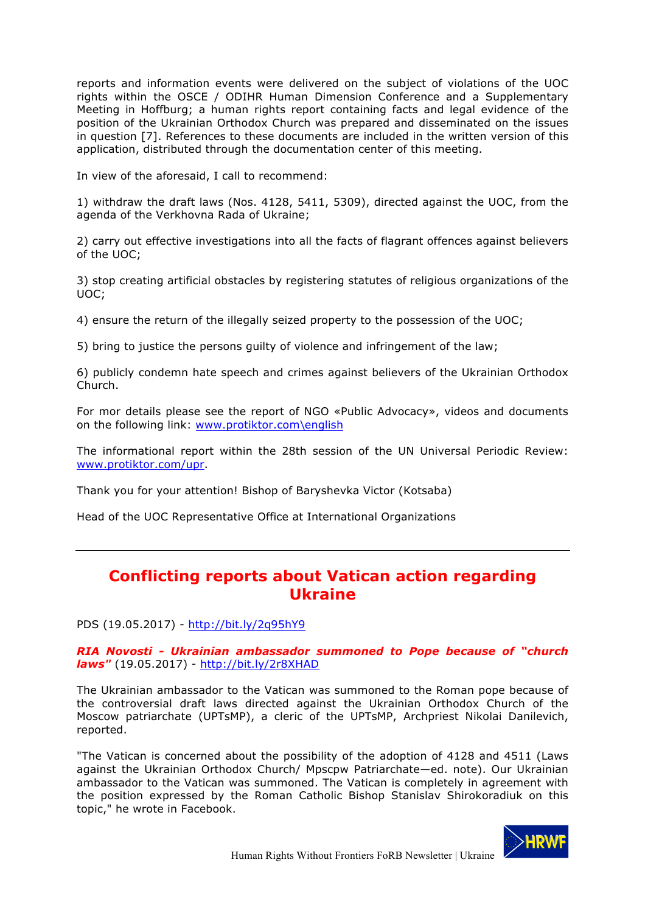reports and information events were delivered on the subject of violations of the UOC rights within the OSCE / ODIHR Human Dimension Conference and a Supplementary Meeting in Hoffburg; a human rights report containing facts and legal evidence of the position of the Ukrainian Orthodox Church was prepared and disseminated on the issues in question [7]. References to these documents are included in the written version of this application, distributed through the documentation center of this meeting.

In view of the aforesaid, I call to recommend:

1) withdraw the draft laws (Nos. 4128, 5411, 5309), directed against the UOC, from the agenda of the Verkhovna Rada of Ukraine;

2) carry out effective investigations into all the facts of flagrant offences against believers of the UOC;

3) stop creating artificial obstacles by registering statutes of religious organizations of the UOC;

4) ensure the return of the illegally seized property to the possession of the UOC;

5) bring to justice the persons guilty of violence and infringement of the law;

6) publicly condemn hate speech and crimes against believers of the Ukrainian Orthodox Church.

For mor details please see the report of NGO «Public Advocacy», videos and documents on the following link: www.protiktor.com\english

The informational report within the 28th session of the UN Universal Periodic Review: www.protiktor.com/upr.

Thank you for your attention! Bishop of Baryshevka Victor (Kotsaba)

Head of the UOC Representative Office at International Organizations

# **Conflicting reports about Vatican action regarding Ukraine**

PDS (19.05.2017) - http://bit.ly/2q95hY9

*RIA Novosti - Ukrainian ambassador summoned to Pope because of "church laws"* (19.05.2017) - http://bit.ly/2r8XHAD

The Ukrainian ambassador to the Vatican was summoned to the Roman pope because of the controversial draft laws directed against the Ukrainian Orthodox Church of the Moscow patriarchate (UPTsMP), a cleric of the UPTsMP, Archpriest Nikolai Danilevich, reported.

"The Vatican is concerned about the possibility of the adoption of 4128 and 4511 (Laws against the Ukrainian Orthodox Church/ Mpscpw Patriarchate—ed. note). Our Ukrainian ambassador to the Vatican was summoned. The Vatican is completely in agreement with the position expressed by the Roman Catholic Bishop Stanislav Shirokoradiuk on this topic," he wrote in Facebook.

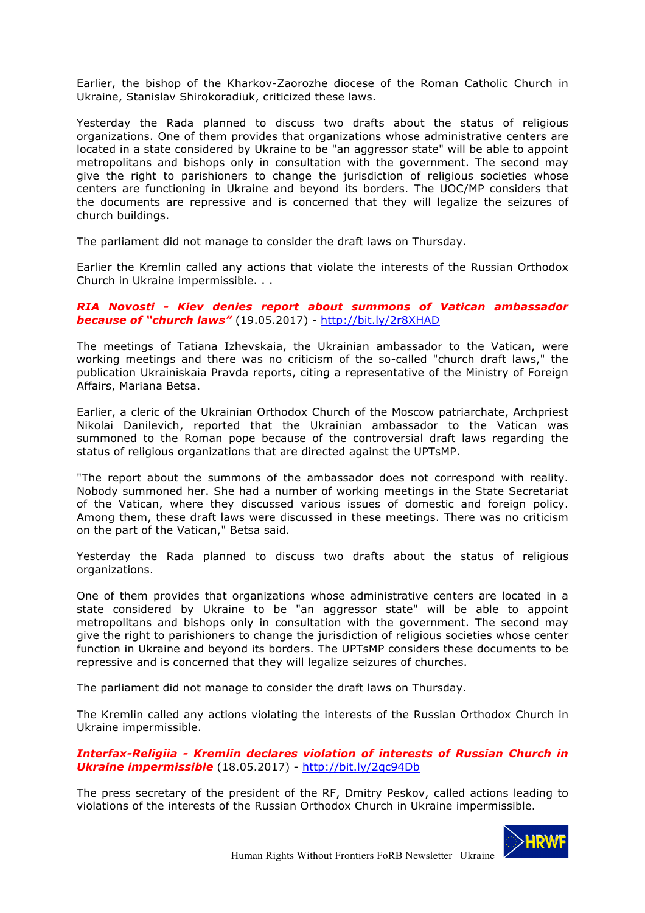Earlier, the bishop of the Kharkov-Zaorozhe diocese of the Roman Catholic Church in Ukraine, Stanislav Shirokoradiuk, criticized these laws.

Yesterday the Rada planned to discuss two drafts about the status of religious organizations. One of them provides that organizations whose administrative centers are located in a state considered by Ukraine to be "an aggressor state" will be able to appoint metropolitans and bishops only in consultation with the government. The second may give the right to parishioners to change the jurisdiction of religious societies whose centers are functioning in Ukraine and beyond its borders. The UOC/MP considers that the documents are repressive and is concerned that they will legalize the seizures of church buildings.

The parliament did not manage to consider the draft laws on Thursday.

Earlier the Kremlin called any actions that violate the interests of the Russian Orthodox Church in Ukraine impermissible. . .

### *RIA Novosti - Kiev denies report about summons of Vatican ambassador because of "church laws"* (19.05.2017) - http://bit.ly/2r8XHAD

The meetings of Tatiana Izhevskaia, the Ukrainian ambassador to the Vatican, were working meetings and there was no criticism of the so-called "church draft laws," the publication Ukrainiskaia Pravda reports, citing a representative of the Ministry of Foreign Affairs, Mariana Betsa.

Earlier, a cleric of the Ukrainian Orthodox Church of the Moscow patriarchate, Archpriest Nikolai Danilevich, reported that the Ukrainian ambassador to the Vatican was summoned to the Roman pope because of the controversial draft laws regarding the status of religious organizations that are directed against the UPTsMP.

"The report about the summons of the ambassador does not correspond with reality. Nobody summoned her. She had a number of working meetings in the State Secretariat of the Vatican, where they discussed various issues of domestic and foreign policy. Among them, these draft laws were discussed in these meetings. There was no criticism on the part of the Vatican," Betsa said.

Yesterday the Rada planned to discuss two drafts about the status of religious organizations.

One of them provides that organizations whose administrative centers are located in a state considered by Ukraine to be "an aggressor state" will be able to appoint metropolitans and bishops only in consultation with the government. The second may give the right to parishioners to change the jurisdiction of religious societies whose center function in Ukraine and beyond its borders. The UPTsMP considers these documents to be repressive and is concerned that they will legalize seizures of churches.

The parliament did not manage to consider the draft laws on Thursday.

The Kremlin called any actions violating the interests of the Russian Orthodox Church in Ukraine impermissible.

*Interfax-Religiia - Kremlin declares violation of interests of Russian Church in Ukraine impermissible* (18.05.2017) - http://bit.ly/2qc94Db

The press secretary of the president of the RF, Dmitry Peskov, called actions leading to violations of the interests of the Russian Orthodox Church in Ukraine impermissible.

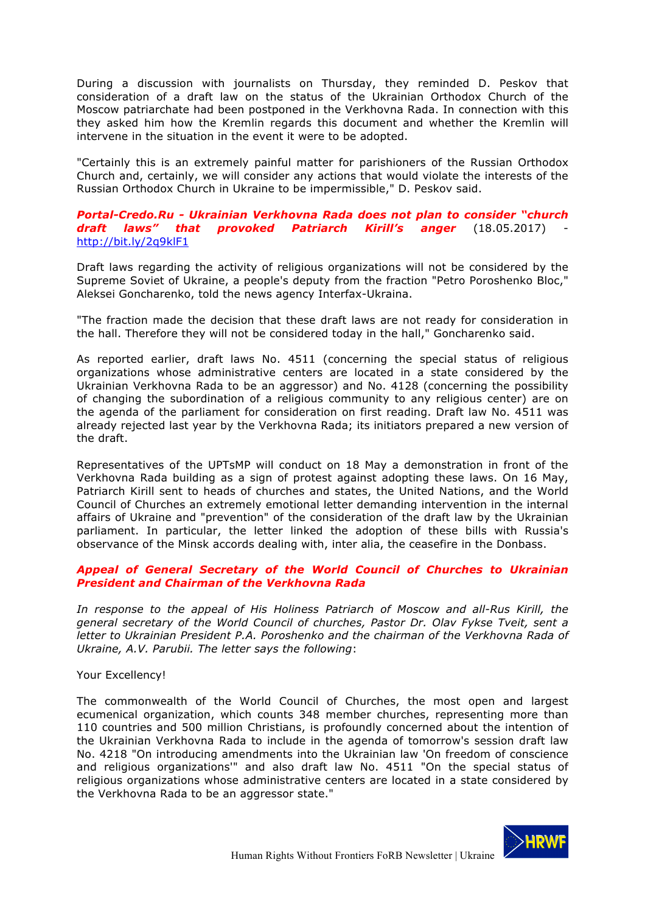During a discussion with journalists on Thursday, they reminded D. Peskov that consideration of a draft law on the status of the Ukrainian Orthodox Church of the Moscow patriarchate had been postponed in the Verkhovna Rada. In connection with this they asked him how the Kremlin regards this document and whether the Kremlin will intervene in the situation in the event it were to be adopted.

"Certainly this is an extremely painful matter for parishioners of the Russian Orthodox Church and, certainly, we will consider any actions that would violate the interests of the Russian Orthodox Church in Ukraine to be impermissible," D. Peskov said.

#### *Portal-Credo.Ru - Ukrainian Verkhovna Rada does not plan to consider "church draft laws" that provoked Patriarch Kirill's anger* (18.05.2017) http://bit.ly/2q9klF1

Draft laws regarding the activity of religious organizations will not be considered by the Supreme Soviet of Ukraine, a people's deputy from the fraction "Petro Poroshenko Bloc," Aleksei Goncharenko, told the news agency Interfax-Ukraina.

"The fraction made the decision that these draft laws are not ready for consideration in the hall. Therefore they will not be considered today in the hall," Goncharenko said.

As reported earlier, draft laws No. 4511 (concerning the special status of religious organizations whose administrative centers are located in a state considered by the Ukrainian Verkhovna Rada to be an aggressor) and No. 4128 (concerning the possibility of changing the subordination of a religious community to any religious center) are on the agenda of the parliament for consideration on first reading. Draft law No. 4511 was already rejected last year by the Verkhovna Rada; its initiators prepared a new version of the draft.

Representatives of the UPTsMP will conduct on 18 May a demonstration in front of the Verkhovna Rada building as a sign of protest against adopting these laws. On 16 May, Patriarch Kirill sent to heads of churches and states, the United Nations, and the World Council of Churches an extremely emotional letter demanding intervention in the internal affairs of Ukraine and "prevention" of the consideration of the draft law by the Ukrainian parliament. In particular, the letter linked the adoption of these bills with Russia's observance of the Minsk accords dealing with, inter alia, the ceasefire in the Donbass.

### *Appeal of General Secretary of the World Council of Churches to Ukrainian President and Chairman of the Verkhovna Rada*

In response to the appeal of His Holiness Patriarch of Moscow and all-Rus Kirill, the *general secretary of the World Council of churches, Pastor Dr. Olav Fykse Tveit, sent a letter to Ukrainian President P.A. Poroshenko and the chairman of the Verkhovna Rada of Ukraine, A.V. Parubii. The letter says the following*:

### Your Excellency!

The commonwealth of the World Council of Churches, the most open and largest ecumenical organization, which counts 348 member churches, representing more than 110 countries and 500 million Christians, is profoundly concerned about the intention of the Ukrainian Verkhovna Rada to include in the agenda of tomorrow's session draft law No. 4218 "On introducing amendments into the Ukrainian law 'On freedom of conscience and religious organizations'" and also draft law No. 4511 "On the special status of religious organizations whose administrative centers are located in a state considered by the Verkhovna Rada to be an aggressor state."

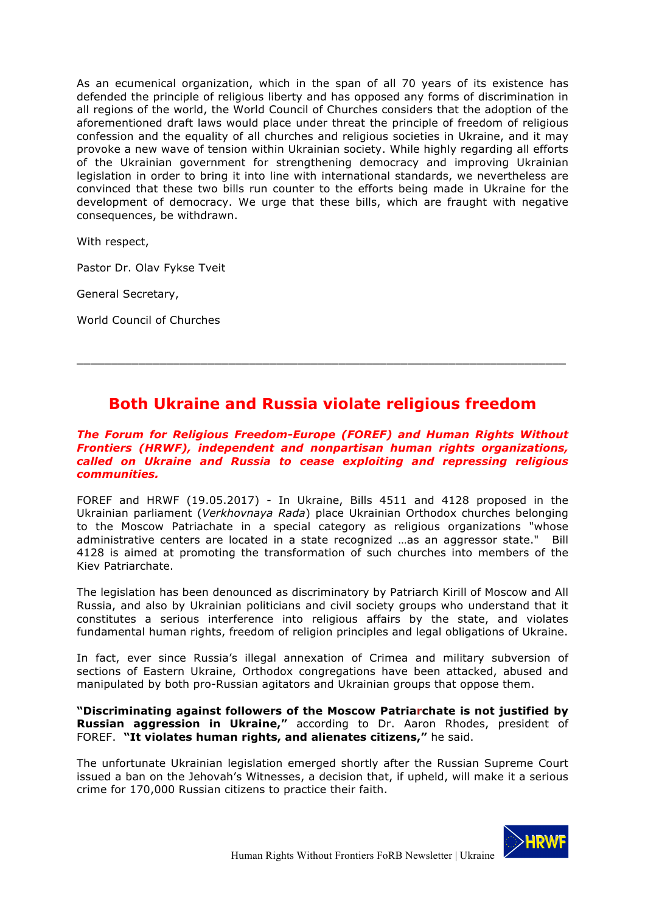As an ecumenical organization, which in the span of all 70 years of its existence has defended the principle of religious liberty and has opposed any forms of discrimination in all regions of the world, the World Council of Churches considers that the adoption of the aforementioned draft laws would place under threat the principle of freedom of religious confession and the equality of all churches and religious societies in Ukraine, and it may provoke a new wave of tension within Ukrainian society. While highly regarding all efforts of the Ukrainian government for strengthening democracy and improving Ukrainian legislation in order to bring it into line with international standards, we nevertheless are convinced that these two bills run counter to the efforts being made in Ukraine for the development of democracy. We urge that these bills, which are fraught with negative consequences, be withdrawn.

With respect,

Pastor Dr. Olav Fykse Tveit

General Secretary,

World Council of Churches

# **Both Ukraine and Russia violate religious freedom**

\_\_\_\_\_\_\_\_\_\_\_\_\_\_\_\_\_\_\_\_\_\_\_\_\_\_\_\_\_\_\_\_\_\_\_\_\_\_\_\_\_\_\_\_\_\_\_\_\_\_\_\_\_\_\_\_\_\_\_\_\_\_\_\_\_\_\_\_\_\_\_

### *The Forum for Religious Freedom-Europe (FOREF) and Human Rights Without Frontiers (HRWF), independent and nonpartisan human rights organizations, called on Ukraine and Russia to cease exploiting and repressing religious communities.*

FOREF and HRWF (19.05.2017) - In Ukraine, Bills 4511 and 4128 proposed in the Ukrainian parliament (*Verkhovnaya Rada*) place Ukrainian Orthodox churches belonging to the Moscow Patriachate in a special category as religious organizations "whose administrative centers are located in a state recognized …as an aggressor state." Bill 4128 is aimed at promoting the transformation of such churches into members of the Kiev Patriarchate.

The legislation has been denounced as discriminatory by Patriarch Kirill of Moscow and All Russia, and also by Ukrainian politicians and civil society groups who understand that it constitutes a serious interference into religious affairs by the state, and violates fundamental human rights, freedom of religion principles and legal obligations of Ukraine.

In fact, ever since Russia's illegal annexation of Crimea and military subversion of sections of Eastern Ukraine, Orthodox congregations have been attacked, abused and manipulated by both pro-Russian agitators and Ukrainian groups that oppose them.

**"Discriminating against followers of the Moscow Patriarchate is not justified by Russian aggression in Ukraine,"** according to Dr. Aaron Rhodes, president of FOREF. **"It violates human rights, and alienates citizens,"** he said.

The unfortunate Ukrainian legislation emerged shortly after the Russian Supreme Court issued a ban on the Jehovah's Witnesses, a decision that, if upheld, will make it a serious crime for 170,000 Russian citizens to practice their faith.

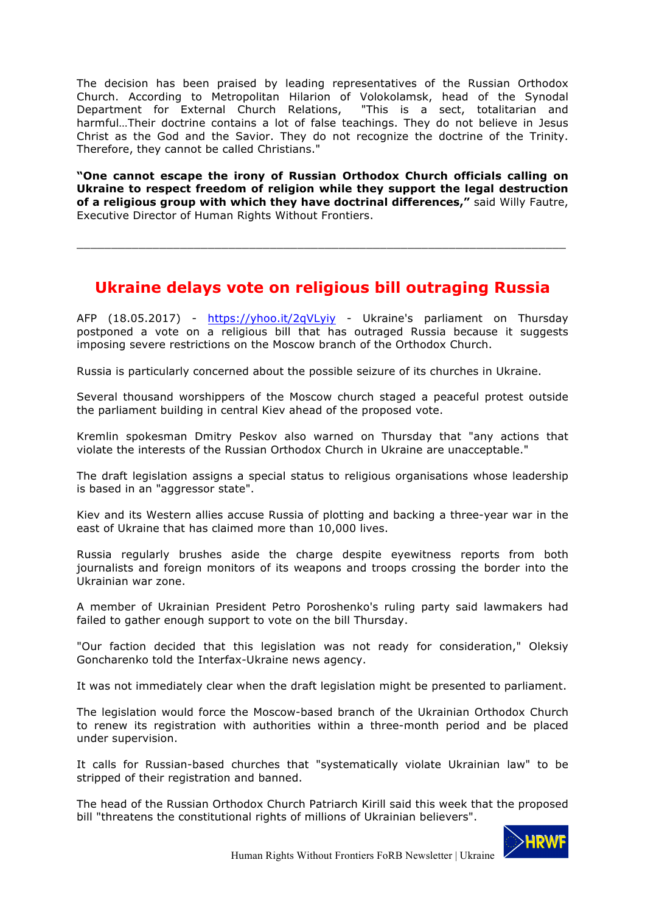The decision has been praised by leading representatives of the Russian Orthodox Church. According to Metropolitan Hilarion of Volokolamsk, head of the Synodal Department for External Church Relations, "This is a sect, totalitarian and harmful…Their doctrine contains a lot of false teachings. They do not believe in Jesus Christ as the God and the Savior. They do not recognize the doctrine of the Trinity. Therefore, they cannot be called Christians."

**"One cannot escape the irony of Russian Orthodox Church officials calling on Ukraine to respect freedom of religion while they support the legal destruction of a religious group with which they have doctrinal differences,"** said Willy Fautre, Executive Director of Human Rights Without Frontiers.

# **Ukraine delays vote on religious bill outraging Russia**

\_\_\_\_\_\_\_\_\_\_\_\_\_\_\_\_\_\_\_\_\_\_\_\_\_\_\_\_\_\_\_\_\_\_\_\_\_\_\_\_\_\_\_\_\_\_\_\_\_\_\_\_\_\_\_\_\_\_\_\_\_\_\_\_\_\_\_\_\_\_\_

AFP (18.05.2017) - https://yhoo.it/2qVLyiy - Ukraine's parliament on Thursday postponed a vote on a religious bill that has outraged Russia because it suggests imposing severe restrictions on the Moscow branch of the Orthodox Church.

Russia is particularly concerned about the possible seizure of its churches in Ukraine.

Several thousand worshippers of the Moscow church staged a peaceful protest outside the parliament building in central Kiev ahead of the proposed vote.

Kremlin spokesman Dmitry Peskov also warned on Thursday that "any actions that violate the interests of the Russian Orthodox Church in Ukraine are unacceptable."

The draft legislation assigns a special status to religious organisations whose leadership is based in an "aggressor state".

Kiev and its Western allies accuse Russia of plotting and backing a three-year war in the east of Ukraine that has claimed more than 10,000 lives.

Russia regularly brushes aside the charge despite eyewitness reports from both journalists and foreign monitors of its weapons and troops crossing the border into the Ukrainian war zone.

A member of Ukrainian President Petro Poroshenko's ruling party said lawmakers had failed to gather enough support to vote on the bill Thursday.

"Our faction decided that this legislation was not ready for consideration," Oleksiy Goncharenko told the Interfax-Ukraine news agency.

It was not immediately clear when the draft legislation might be presented to parliament.

The legislation would force the Moscow-based branch of the Ukrainian Orthodox Church to renew its registration with authorities within a three-month period and be placed under supervision.

It calls for Russian-based churches that "systematically violate Ukrainian law" to be stripped of their registration and banned.

The head of the Russian Orthodox Church Patriarch Kirill said this week that the proposed bill "threatens the constitutional rights of millions of Ukrainian believers".

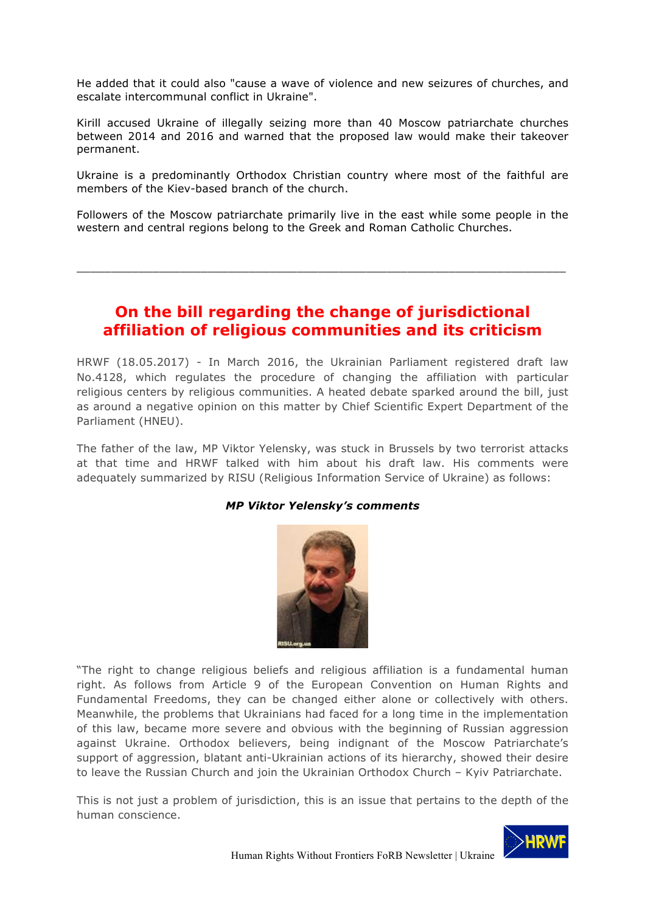He added that it could also "cause a wave of violence and new seizures of churches, and escalate intercommunal conflict in Ukraine".

Kirill accused Ukraine of illegally seizing more than 40 Moscow patriarchate churches between 2014 and 2016 and warned that the proposed law would make their takeover permanent.

Ukraine is a predominantly Orthodox Christian country where most of the faithful are members of the Kiev-based branch of the church.

Followers of the Moscow patriarchate primarily live in the east while some people in the western and central regions belong to the Greek and Roman Catholic Churches.

\_\_\_\_\_\_\_\_\_\_\_\_\_\_\_\_\_\_\_\_\_\_\_\_\_\_\_\_\_\_\_\_\_\_\_\_\_\_\_\_\_\_\_\_\_\_\_\_\_\_\_\_\_\_\_\_\_\_\_\_\_\_\_\_\_\_\_\_\_\_\_

# **On the bill regarding the change of jurisdictional affiliation of religious communities and its criticism**

HRWF (18.05.2017) - In March 2016, the Ukrainian Parliament registered draft law No.4128, which regulates the procedure of changing the affiliation with particular religious centers by religious communities. A heated debate sparked around the bill, just as around a negative opinion on this matter by Chief Scientific Expert Department of the Parliament (HNEU).

The father of the law, MP Viktor Yelensky, was stuck in Brussels by two terrorist attacks at that time and HRWF talked with him about his draft law. His comments were adequately summarized by RISU (Religious Information Service of Ukraine) as follows:

## *MP Viktor Yelensky's comments*



"The right to change religious beliefs and religious affiliation is a fundamental human right. As follows from Article 9 of the European Convention on Human Rights and Fundamental Freedoms, they can be changed either alone or collectively with others. Meanwhile, the problems that Ukrainians had faced for a long time in the implementation of this law, became more severe and obvious with the beginning of Russian aggression against Ukraine. Orthodox believers, being indignant of the Moscow Patriarchate's support of aggression, blatant anti-Ukrainian actions of its hierarchy, showed their desire to leave the Russian Church and join the Ukrainian Orthodox Church – Kyiv Patriarchate.

This is not just a problem of jurisdiction, this is an issue that pertains to the depth of the human conscience.

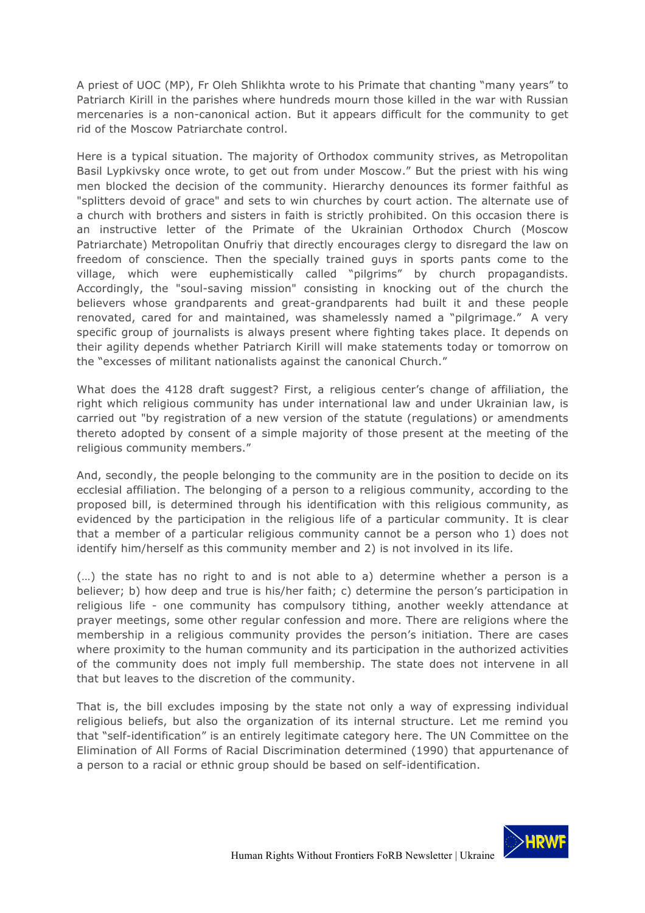A priest of UOC (MP), Fr Oleh Shlikhta wrote to his Primate that chanting "many years" to Patriarch Kirill in the parishes where hundreds mourn those killed in the war with Russian mercenaries is a non-canonical action. But it appears difficult for the community to get rid of the Moscow Patriarchate control.

Here is a typical situation. The majority of Orthodox community strives, as Metropolitan Basil Lypkivsky once wrote, to get out from under Moscow." But the priest with his wing men blocked the decision of the community. Hierarchy denounces its former faithful as "splitters devoid of grace" and sets to win churches by court action. The alternate use of a church with brothers and sisters in faith is strictly prohibited. On this occasion there is an instructive letter of the Primate of the Ukrainian Orthodox Church (Moscow Patriarchate) Metropolitan Onufriy that directly encourages clergy to disregard the law on freedom of conscience. Then the specially trained guys in sports pants come to the village, which were euphemistically called "pilgrims" by church propagandists. Accordingly, the "soul-saving mission" consisting in knocking out of the church the believers whose grandparents and great-grandparents had built it and these people renovated, cared for and maintained, was shamelessly named a "pilgrimage." A very specific group of journalists is always present where fighting takes place. It depends on their agility depends whether Patriarch Kirill will make statements today or tomorrow on the "excesses of militant nationalists against the canonical Church."

What does the 4128 draft suggest? First, a religious center's change of affiliation, the right which religious community has under international law and under Ukrainian law, is carried out "by registration of a new version of the statute (regulations) or amendments thereto adopted by consent of a simple majority of those present at the meeting of the religious community members."

And, secondly, the people belonging to the community are in the position to decide on its ecclesial affiliation. The belonging of a person to a religious community, according to the proposed bill, is determined through his identification with this religious community, as evidenced by the participation in the religious life of a particular community. It is clear that a member of a particular religious community cannot be a person who 1) does not identify him/herself as this community member and 2) is not involved in its life.

(…) the state has no right to and is not able to a) determine whether a person is a believer; b) how deep and true is his/her faith; c) determine the person's participation in religious life - one community has compulsory tithing, another weekly attendance at prayer meetings, some other regular confession and more. There are religions where the membership in a religious community provides the person's initiation. There are cases where proximity to the human community and its participation in the authorized activities of the community does not imply full membership. The state does not intervene in all that but leaves to the discretion of the community.

That is, the bill excludes imposing by the state not only a way of expressing individual religious beliefs, but also the organization of its internal structure. Let me remind you that "self-identification" is an entirely legitimate category here. The UN Committee on the Elimination of All Forms of Racial Discrimination determined (1990) that appurtenance of a person to a racial or ethnic group should be based on self-identification.

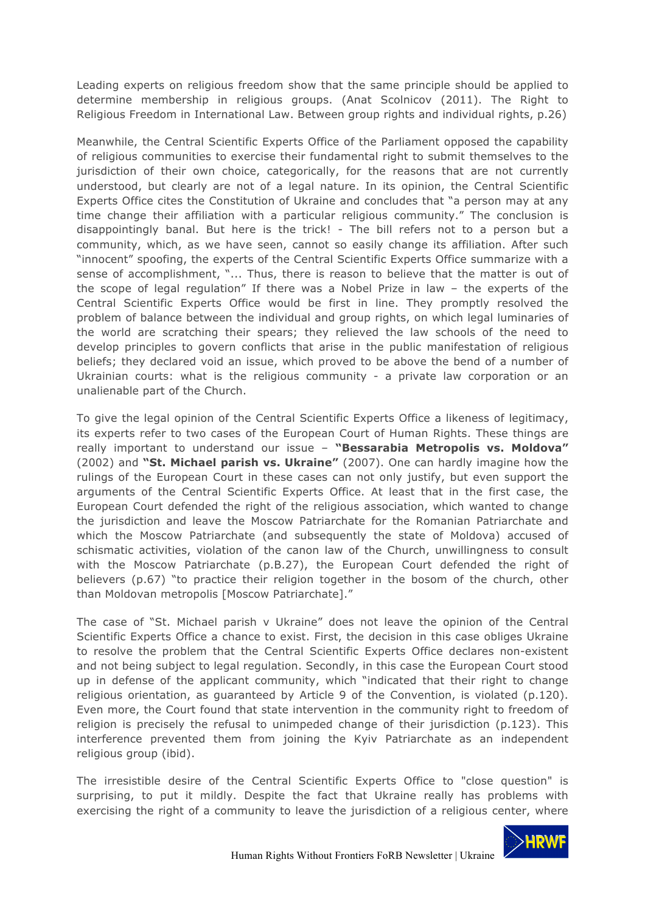Leading experts on religious freedom show that the same principle should be applied to determine membership in religious groups. (Anat Scolnicov (2011). The Right to Religious Freedom in International Law. Between group rights and individual rights, р.26)

Meanwhile, the Central Scientific Experts Office of the Parliament opposed the capability of religious communities to exercise their fundamental right to submit themselves to the jurisdiction of their own choice, categorically, for the reasons that are not currently understood, but clearly are not of a legal nature. In its opinion, the Central Scientific Experts Office cites the Constitution of Ukraine and concludes that "a person may at any time change their affiliation with a particular religious community." The conclusion is disappointingly banal. But here is the trick! - The bill refers not to a person but a community, which, as we have seen, cannot so easily change its affiliation. After such "innocent" spoofing, the experts of the Central Scientific Experts Office summarize with a sense of accomplishment, "... Thus, there is reason to believe that the matter is out of the scope of legal regulation" If there was a Nobel Prize in law – the experts of the Central Scientific Experts Office would be first in line. They promptly resolved the problem of balance between the individual and group rights, on which legal luminaries of the world are scratching their spears; they relieved the law schools of the need to develop principles to govern conflicts that arise in the public manifestation of religious beliefs; they declared void an issue, which proved to be above the bend of a number of Ukrainian courts: what is the religious community - a private law corporation or an unalienable part of the Church.

To give the legal opinion of the Central Scientific Experts Office a likeness of legitimacy, its experts refer to two cases of the European Court of Human Rights. These things are really important to understand our issue – **"Bessarabia Metropolis vs. Moldova"** (2002) and **"St. Michael parish vs. Ukraine"** (2007). One can hardly imagine how the rulings of the European Court in these cases can not only justify, but even support the arguments of the Central Scientific Experts Office. At least that in the first case, the European Court defended the right of the religious association, which wanted to change the jurisdiction and leave the Moscow Patriarchate for the Romanian Patriarchate and which the Moscow Patriarchate (and subsequently the state of Moldova) accused of schismatic activities, violation of the canon law of the Church, unwillingness to consult with the Moscow Patriarchate (p.B.27), the European Court defended the right of believers (p.67) "to practice their religion together in the bosom of the church, other than Moldovan metropolis [Moscow Patriarchate]."

The case of "St. Michael parish v Ukraine" does not leave the opinion of the Central Scientific Experts Office a chance to exist. First, the decision in this case obliges Ukraine to resolve the problem that the Central Scientific Experts Office declares non-existent and not being subject to legal regulation. Secondly, in this case the European Court stood up in defense of the applicant community, which "indicated that their right to change religious orientation, as guaranteed by Article 9 of the Convention, is violated (p.120). Even more, the Court found that state intervention in the community right to freedom of religion is precisely the refusal to unimpeded change of their jurisdiction (p.123). This interference prevented them from joining the Kyiv Patriarchate as an independent religious group (ibid).

The irresistible desire of the Central Scientific Experts Office to "close question" is surprising, to put it mildly. Despite the fact that Ukraine really has problems with exercising the right of a community to leave the jurisdiction of a religious center, where

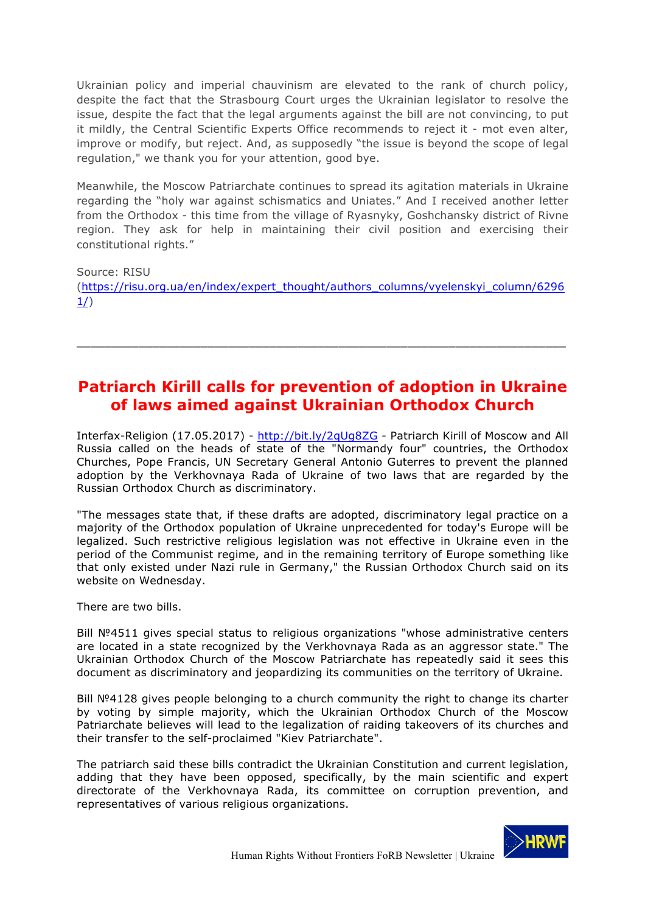Ukrainian policy and imperial chauvinism are elevated to the rank of church policy, despite the fact that the Strasbourg Court urges the Ukrainian legislator to resolve the issue, despite the fact that the legal arguments against the bill are not convincing, to put it mildly, the Central Scientific Experts Office recommends to reject it - mot even alter, improve or modify, but reject. And, as supposedly "the issue is beyond the scope of legal regulation," we thank you for your attention, good bye.

Meanwhile, the Moscow Patriarchate continues to spread its agitation materials in Ukraine regarding the "holy war against schismatics and Uniates." And I received another letter from the Orthodox - this time from the village of Ryasnyky, Goshchansky district of Rivne region. They ask for help in maintaining their civil position and exercising their constitutional rights."

Source: RISU (https://risu.org.ua/en/index/expert\_thought/authors\_columns/vyelenskyi\_column/6296  $1/$ 

\_\_\_\_\_\_\_\_\_\_\_\_\_\_\_\_\_\_\_\_\_\_\_\_\_\_\_\_\_\_\_\_\_\_\_\_\_\_\_\_\_\_\_\_\_\_\_\_\_\_\_\_\_\_\_\_\_\_\_\_\_\_\_\_\_\_\_\_\_\_\_

# **Patriarch Kirill calls for prevention of adoption in Ukraine of laws aimed against Ukrainian Orthodox Church**

Interfax-Religion (17.05.2017) - http://bit.ly/2qUg8ZG - Patriarch Kirill of Moscow and All Russia called on the heads of state of the "Normandy four" countries, the Orthodox Churches, Pope Francis, UN Secretary General Antonio Guterres to prevent the planned adoption by the Verkhovnaya Rada of Ukraine of two laws that are regarded by the Russian Orthodox Church as discriminatory.

"The messages state that, if these drafts are adopted, discriminatory legal practice on a majority of the Orthodox population of Ukraine unprecedented for today's Europe will be legalized. Such restrictive religious legislation was not effective in Ukraine even in the period of the Communist regime, and in the remaining territory of Europe something like that only existed under Nazi rule in Germany," the Russian Orthodox Church said on its website on Wednesday.

There are two bills.

Bill №4511 gives special status to religious organizations "whose administrative centers are located in a state recognized by the Verkhovnaya Rada as an aggressor state." The Ukrainian Orthodox Church of the Moscow Patriarchate has repeatedly said it sees this document as discriminatory and jeopardizing its communities on the territory of Ukraine.

Bill Nº4128 gives people belonging to a church community the right to change its charter by voting by simple majority, which the Ukrainian Orthodox Church of the Moscow Patriarchate believes will lead to the legalization of raiding takeovers of its churches and their transfer to the self-proclaimed "Kiev Patriarchate".

The patriarch said these bills contradict the Ukrainian Constitution and current legislation, adding that they have been opposed, specifically, by the main scientific and expert directorate of the Verkhovnaya Rada, its committee on corruption prevention, and representatives of various religious organizations.

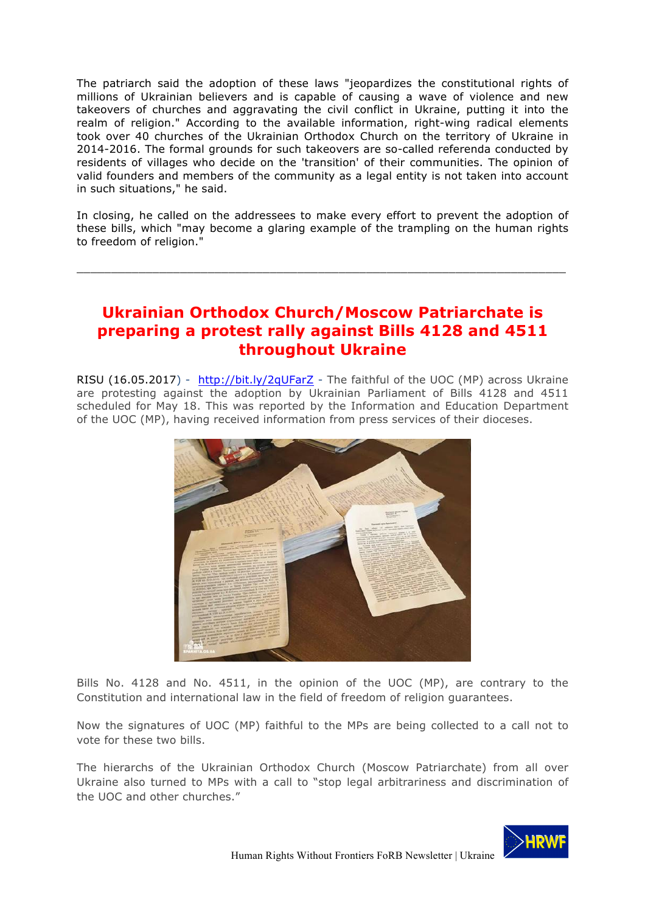The patriarch said the adoption of these laws "jeopardizes the constitutional rights of millions of Ukrainian believers and is capable of causing a wave of violence and new takeovers of churches and aggravating the civil conflict in Ukraine, putting it into the realm of religion." According to the available information, right-wing radical elements took over 40 churches of the Ukrainian Orthodox Church on the territory of Ukraine in 2014-2016. The formal grounds for such takeovers are so-called referenda conducted by residents of villages who decide on the 'transition' of their communities. The opinion of valid founders and members of the community as a legal entity is not taken into account in such situations," he said.

In closing, he called on the addressees to make every effort to prevent the adoption of these bills, which "may become a glaring example of the trampling on the human rights to freedom of religion."

\_\_\_\_\_\_\_\_\_\_\_\_\_\_\_\_\_\_\_\_\_\_\_\_\_\_\_\_\_\_\_\_\_\_\_\_\_\_\_\_\_\_\_\_\_\_\_\_\_\_\_\_\_\_\_\_\_\_\_\_\_\_\_\_\_\_\_\_\_\_\_

# **Ukrainian Orthodox Church/Moscow Patriarchate is preparing a protest rally against Bills 4128 and 4511 throughout Ukraine**

RISU (16.05.2017) - http://bit.ly/2qUFarZ - The faithful of the UOC (MP) across Ukraine are protesting against the adoption by Ukrainian Parliament of Bills 4128 and 4511 scheduled for May 18. This was reported by the Information and Education Department of the UOC (MP), having received information from press services of their dioceses.



Bills No. 4128 and No. 4511, in the opinion of the UOC (MP), are contrary to the Constitution and international law in the field of freedom of religion guarantees.

Now the signatures of UOC (MP) faithful to the MPs are being collected to a call not to vote for these two bills.

The hierarchs of the Ukrainian Orthodox Church (Moscow Patriarchate) from all over Ukraine also turned to MPs with a call to "stop legal arbitrariness and discrimination of the UOC and other churches."

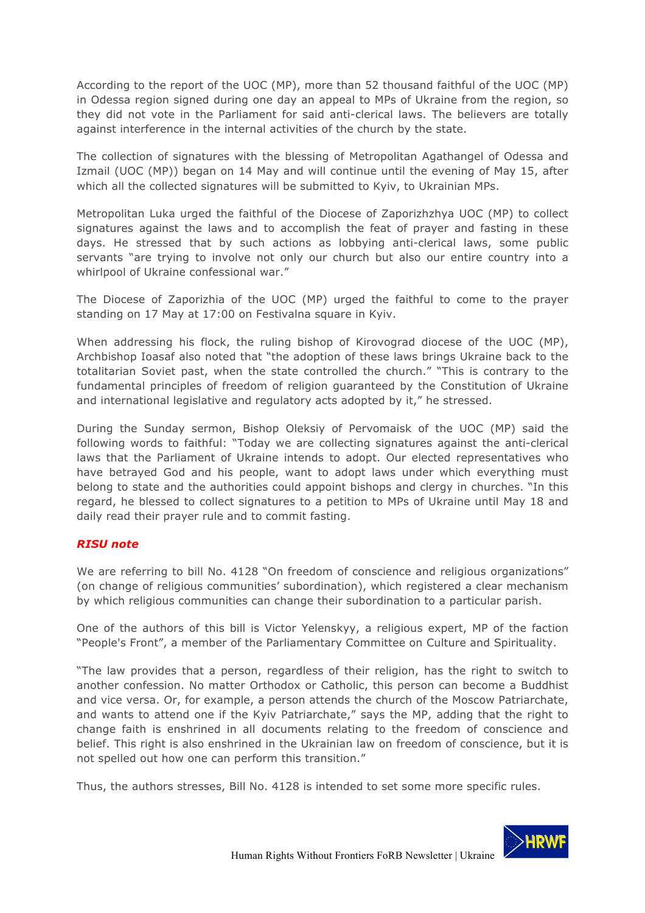According to the report of the UOC (MP), more than 52 thousand faithful of the UOC (MP) in Odessa region signed during one day an appeal to MPs of Ukraine from the region, so they did not vote in the Parliament for said anti-clerical laws. The believers are totally against interference in the internal activities of the church by the state.

The collection of signatures with the blessing of Metropolitan Agathangel of Odessa and Izmail (UOC (MP)) began on 14 May and will continue until the evening of May 15, after which all the collected signatures will be submitted to Kyiv, to Ukrainian MPs.

Metropolitan Luka urged the faithful of the Diocese of Zaporizhzhya UOC (MP) to collect signatures against the laws and to accomplish the feat of prayer and fasting in these days. He stressed that by such actions as lobbying anti-clerical laws, some public servants "are trying to involve not only our church but also our entire country into a whirlpool of Ukraine confessional war."

The Diocese of Zaporizhia of the UOC (MP) urged the faithful to come to the prayer standing on 17 May at 17:00 on Festivalna square in Kyiv.

When addressing his flock, the ruling bishop of Kirovograd diocese of the UOC (MP), Archbishop Ioasaf also noted that "the adoption of these laws brings Ukraine back to the totalitarian Soviet past, when the state controlled the church." "This is contrary to the fundamental principles of freedom of religion guaranteed by the Constitution of Ukraine and international legislative and regulatory acts adopted by it," he stressed.

During the Sunday sermon, Bishop Oleksiy of Pervomaisk of the UOC (MP) said the following words to faithful: "Today we are collecting signatures against the anti-clerical laws that the Parliament of Ukraine intends to adopt. Our elected representatives who have betrayed God and his people, want to adopt laws under which everything must belong to state and the authorities could appoint bishops and clergy in churches. "In this regard, he blessed to collect signatures to a petition to MPs of Ukraine until May 18 and daily read their prayer rule and to commit fasting.

## *RISU note*

We are referring to bill No. 4128 "On freedom of conscience and religious organizations" (on change of religious communities' subordination), which registered a clear mechanism by which religious communities can change their subordination to a particular parish.

One of the authors of this bill is Victor Yelenskyy, a religious expert, MP of the faction "People's Front", a member of the Parliamentary Committee on Culture and Spirituality.

"The law provides that a person, regardless of their religion, has the right to switch to another confession. No matter Orthodox or Catholic, this person can become a Buddhist and vice versa. Or, for example, a person attends the church of the Moscow Patriarchate, and wants to attend one if the Kyiv Patriarchate," says the MP, adding that the right to change faith is enshrined in all documents relating to the freedom of conscience and belief. This right is also enshrined in the Ukrainian law on freedom of conscience, but it is not spelled out how one can perform this transition."

Thus, the authors stresses, Bill No. 4128 is intended to set some more specific rules.